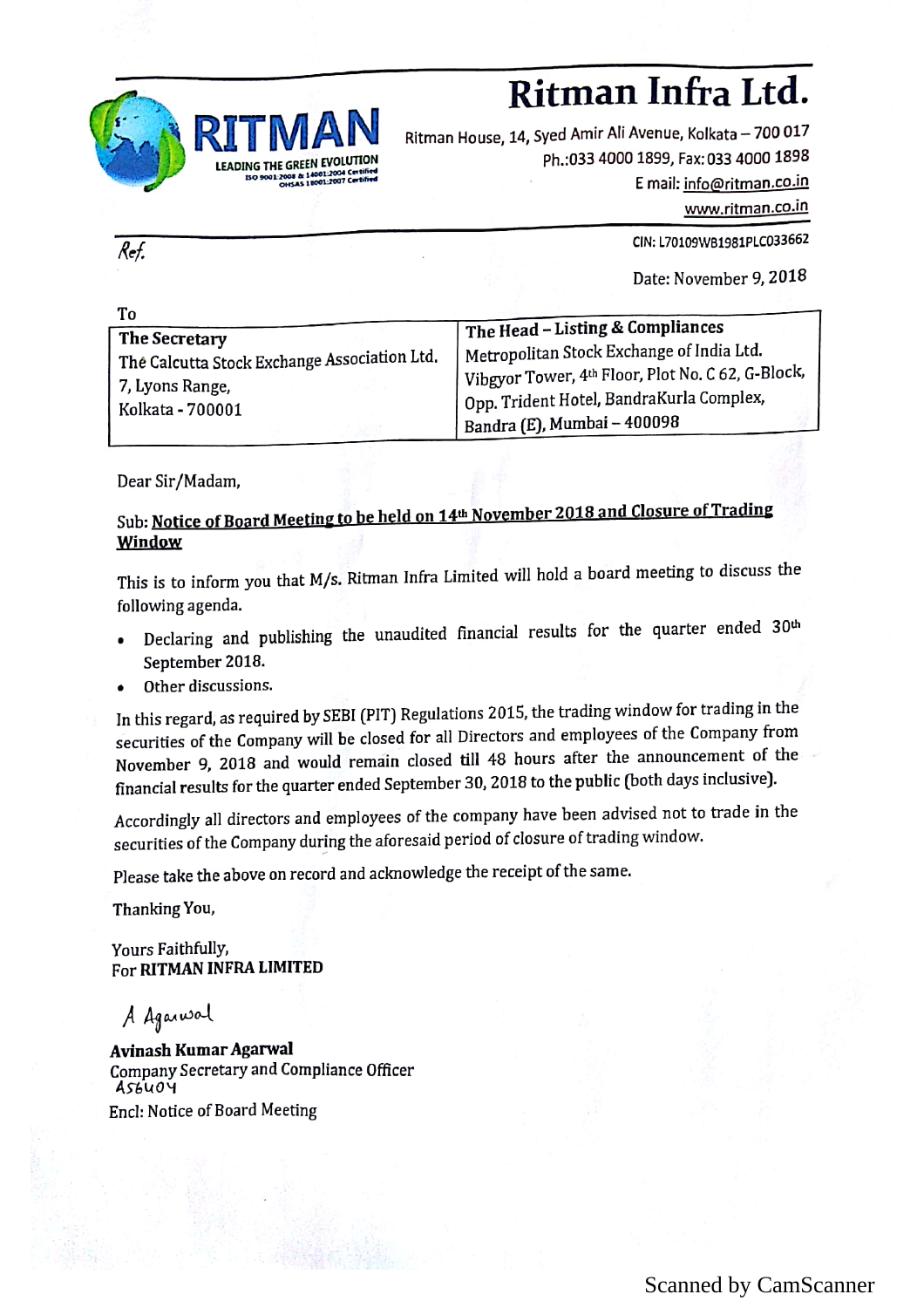

**CAN Ritman House, 14, Syed Amir Ali Avenue, Kolkata – 700 0**<br>
E GREEN EVOLUTION<br>
Ph.:033 4000 1899, Fax: 033 4000 18<br>
F mail: info@ritman.co Ritman House, 14, Syed Amir Ali Avenue, Kolkata – 700 01 $^{\circ}$ Ph.:033 4000 1899, Fax: 033 4000 1898 <sup>E</sup> mail: info@ritman.co.in

www.ritman.co.in

CIN:L70109\VB1981PLC033662

Date: November 9, 2018

| To                                                                                                   |                                                                                                                                                                                                                              |
|------------------------------------------------------------------------------------------------------|------------------------------------------------------------------------------------------------------------------------------------------------------------------------------------------------------------------------------|
| The Secretary<br>The Calcutta Stock Exchange Association Ltd.<br>7, Lyons Range,<br>Kolkata - 700001 | The Head - Listing & Compliances<br>Metropolitan Stock Exchange of India Ltd.<br>Vibgyor Tower, 4th Floor, Plot No. C 62, G-Block,<br>  Opp. Trident Hotel, BandraKurla Complex,<br><sup>1</sup> Bandra (E), Mumbai - 400098 |

Dear Sir /Madam,

 $\overline{Ref.}$ 

## Sub: Notice of Board Meeting to be held on 14<sup>th</sup> November 2018 and Closure of Trading Window

This is to inform you that M/s. Ritman Infra Limited will hold <sup>a</sup> board meeting to discuss the following agenda.

- Declaring and publishing the unaudited financial results for the quarter ended 30<sup>th</sup> September 2018.
- Other discussions.

In this regard, as required by SEBI (PIT) Regulations 2015, the trading window for trading in the securities of the Company will be closed for all Directors and employees of the Company from November 9, <sup>2018</sup> and would remain closed till <sup>48</sup> hours after the announcement of the . financial results for the quarter ended September 30, <sup>2018</sup> to the public (both days inclusive).

Accordingly all directors and employees of the company have been advised not to trade in the securities of the Company during the aforesaid period of closure of trading window.

Please take the above on record and acknowledge the receipt of the same.

Thanking You,

Yours Faithfully, For RITMAN INFRA LIMITED

A Agained

Avinash Kumar Agarwal Company Secretary and Compliance Officer  $ASb\dot{u}\dot{\theta}\dot{\Psi}$ Enc1: Notice of Board Meeting